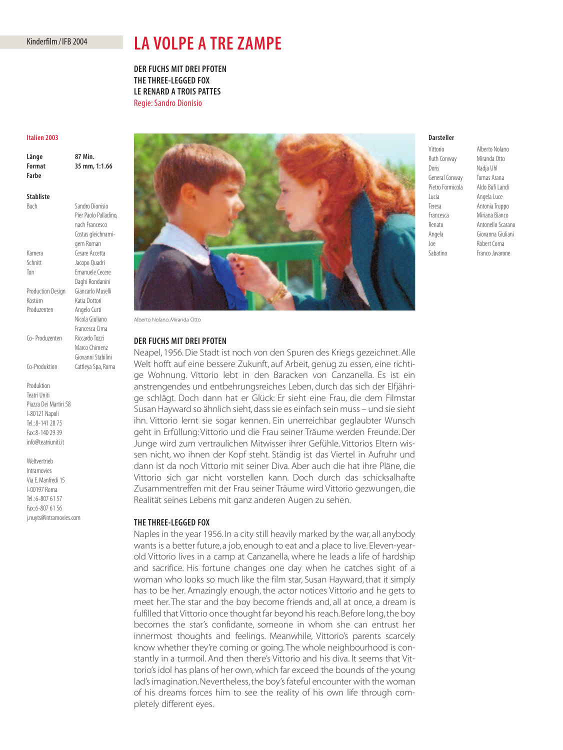# Kinderfilm / IFB 2004

# **LA VOLPE A TRE ZAMPE**

**DER FUCHS MIT DREI PFOTEN THE THREE-LEGGED FOX LE RENARD A TROIS PATTES** Regie: Sandro Dionisio

#### **Italien 2003**

| Länge<br>Format<br>Farbe | 87 Min.<br>35 mm, 1:1.66                                   |
|--------------------------|------------------------------------------------------------|
| <b>Stabliste</b>         |                                                            |
| Buch                     | Sandro Dionisio<br>Pier Paolo Palladino,<br>nach Francesco |
|                          | Costas gleichnami-<br>gem Roman                            |
| Kamera                   | Cesare Accetta                                             |
| Schnitt                  | Jacopo Quadri                                              |
| Ton                      | Emanuele Cecere                                            |
|                          | Daghi Rondanini                                            |
| <b>Production Design</b> | Giancarlo Muselli                                          |
| Kostüm                   | Katja Dottori                                              |
| Produzenten              | Angelo Curti                                               |

Co- Produzenten Riccardo Tozzi

Nicola Giuliano Francesca Cima

Marco Chimenz Giovanni Stabilini

Co-Produktion Cattleya Spa, Roma Produktion Teatri Uniti Piazza Dei Martiri 58 I-80121 Napoli Tel.: 8-141 28 75

Fax: 8-140 29 39 info@teatriuniti.it

Weltvertrieb Intramovies Via E. Manfredi 15 I-00197 Roma Tel.: 6-807 61 57 Fax: 6-807 61 56 j.nuyts@intramovies.com



Alberto Nolano, Miranda Otto

# **DER FUCHS MIT DREI PFOTEN**

Neapel, 1956. Die Stadt ist noch von den Spuren des Kriegs gezeichnet. Alle Welt hofft auf eine bessere Zukunft, auf Arbeit, genug zu essen, eine richtige Wohnung. Vittorio lebt in den Baracken von Canzanella. Es ist ein anstrengendes und entbehrungsreiches Leben, durch das sich der Elfjährige schlägt. Doch dann hat er Glück: Er sieht eine Frau, die dem Filmstar Susan Hayward so ähnlich sieht, dass sie es einfach sein muss – und sie sieht ihn. Vittorio lernt sie sogar kennen. Ein unerreichbar geglaubter Wunsch geht in Erfüllung: Vittorio und die Frau seiner Träume werden Freunde. Der Junge wird zum vertraulichen Mitwisser ihrer Gefühle. Vittorios Eltern wissen nicht, wo ihnen der Kopf steht. Ständig ist das Viertel in Aufruhr und dann ist da noch Vittorio mit seiner Diva. Aber auch die hat ihre Pläne, die Vittorio sich gar nicht vorstellen kann. Doch durch das schicksalhafte Zusammentreffen mit der Frau seiner Träume wird Vittorio gezwungen, die Realität seines Lebens mit ganz anderen Augen zu sehen.

#### **THE THREE-LEGGED FOX**

Naples in the year 1956. In a city still heavily marked by the war, all anybody wants is a better future, a job, enough to eat and a place to live. Eleven-yearold Vittorio lives in a camp at Canzanella, where he leads a life of hardship and sacrifice. His fortune changes one day when he catches sight of a woman who looks so much like the film star, Susan Hayward, that it simply has to be her. Amazingly enough, the actor notices Vittorio and he gets to meet her. The star and the boy become friends and, all at once, a dream is fulfilled that Vittorio once thought far beyond his reach.Before long, the boy becomes the star's confidante, someone in whom she can entrust her innermost thoughts and feelings. Meanwhile, Vittorio's parents scarcely know whether they're coming or going. The whole neighbourhood is constantly in a turmoil. And then there's Vittorio and his diva. It seems that Vittorio's idol has plans of her own, which far exceed the bounds of the young lad's imagination. Nevertheless, the boy's fateful encounter with the woman of his dreams forces him to see the reality of his own life through completely different eyes.

### **Darsteller**

Ruth Conway Miranda Otto Doris Nadja Uhl General Conway Tomas Arana Lucia Angela Luce Joe Robert Corna

Vittorio Alberto Nolano Pietro Formicola Aldo Bufi Landi Teresa Antonia Truppo Francesca Miriana Bianco Renato Antonello Scarano Angela Giovanna Giuliani Sabatino Franco Javarone